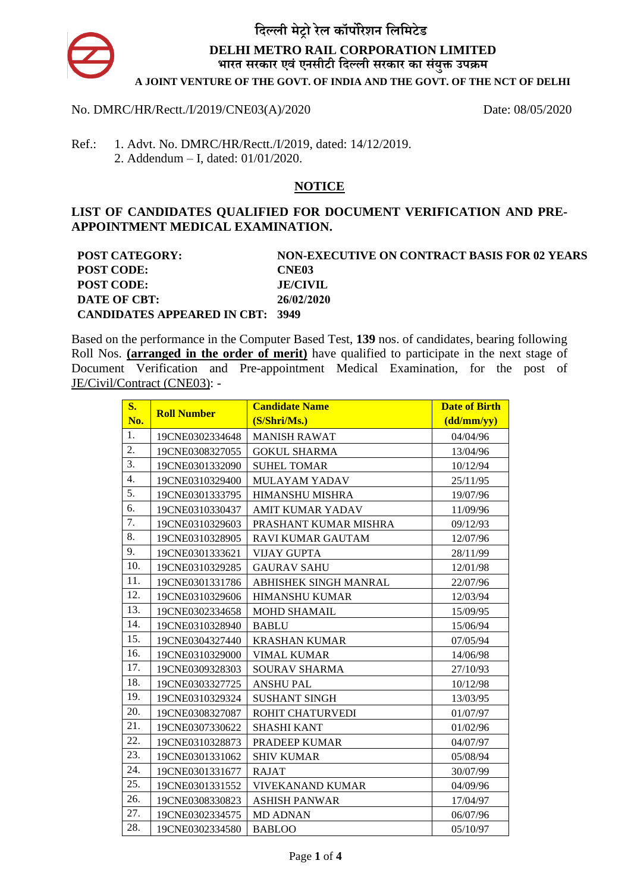

### No. DMRC/HR/Rectt./I/2019/CNE03(A)/2020 Date: 08/05/2020

Ref.: 1. Advt. No. DMRC/HR/Rectt./I/2019, dated: 14/12/2019. 2. Addendum – I, dated: 01/01/2020.

## **NOTICE**

### **LIST OF CANDIDATES QUALIFIED FOR DOCUMENT VERIFICATION AND PRE-APPOINTMENT MEDICAL EXAMINATION.**

| <b>POST CATEGORY:</b>                   | <b>NON-EXECUTIVE ON CONTRACT BASIS FOR 02 YEARS</b> |
|-----------------------------------------|-----------------------------------------------------|
| <b>POST CODE:</b>                       | CNE03                                               |
| <b>POST CODE:</b>                       | <b>JE/CIVIL</b>                                     |
| DATE OF CBT:                            | 26/02/2020                                          |
| <b>CANDIDATES APPEARED IN CBT: 3949</b> |                                                     |

Based on the performance in the Computer Based Test, **139** nos. of candidates, bearing following Roll Nos. **(arranged in the order of merit)** have qualified to participate in the next stage of Document Verification and Pre-appointment Medical Examination, for the post of JE/Civil/Contract (CNE03): -

| S <sub>1</sub> | <b>Roll Number</b> | <b>Candidate Name</b>   | <b>Date of Birth</b>          |
|----------------|--------------------|-------------------------|-------------------------------|
| No.            |                    | (S/Shri/Ms.)            | $\frac{1}{\text{(dd/mm/yy)}}$ |
| 1.             | 19CNE0302334648    | <b>MANISH RAWAT</b>     | 04/04/96                      |
| 2.             | 19CNE0308327055    | <b>GOKUL SHARMA</b>     | 13/04/96                      |
| 3.             | 19CNE0301332090    | <b>SUHEL TOMAR</b>      | 10/12/94                      |
| 4.             | 19CNE0310329400    | MULAYAM YADAV           | 25/11/95                      |
| 5.             | 19CNE0301333795    | <b>HIMANSHU MISHRA</b>  | 19/07/96                      |
| 6.             | 19CNE0310330437    | <b>AMIT KUMAR YADAV</b> | 11/09/96                      |
| 7.             | 19CNE0310329603    | PRASHANT KUMAR MISHRA   | 09/12/93                      |
| 8.             | 19CNE0310328905    | RAVI KUMAR GAUTAM       | 12/07/96                      |
| 9.             | 19CNE0301333621    | <b>VIJAY GUPTA</b>      | 28/11/99                      |
| 10.            | 19CNE0310329285    | <b>GAURAV SAHU</b>      | 12/01/98                      |
| 11.            | 19CNE0301331786    | ABHISHEK SINGH MANRAL   | 22/07/96                      |
| 12.            | 19CNE0310329606    | <b>HIMANSHU KUMAR</b>   | 12/03/94                      |
| 13.            | 19CNE0302334658    | <b>MOHD SHAMAIL</b>     | 15/09/95                      |
| 14.            | 19CNE0310328940    | <b>BABLU</b>            | 15/06/94                      |
| 15.            | 19CNE0304327440    | <b>KRASHAN KUMAR</b>    | 07/05/94                      |
| 16.            | 19CNE0310329000    | <b>VIMAL KUMAR</b>      | 14/06/98                      |
| 17.            | 19CNE0309328303    | SOURAV SHARMA           | 27/10/93                      |
| 18.            | 19CNE0303327725    | <b>ANSHU PAL</b>        | 10/12/98                      |
| 19.            | 19CNE0310329324    | <b>SUSHANT SINGH</b>    | 13/03/95                      |
| 20.            | 19CNE0308327087    | ROHIT CHATURVEDI        | 01/07/97                      |
| 21.            | 19CNE0307330622    | <b>SHASHI KANT</b>      | 01/02/96                      |
| 22.            | 19CNE0310328873    | PRADEEP KUMAR           | 04/07/97                      |
| 23.            | 19CNE0301331062    | <b>SHIV KUMAR</b>       | 05/08/94                      |
| 24.            | 19CNE0301331677    | <b>RAJAT</b>            | 30/07/99                      |
| 25.            | 19CNE0301331552    | <b>VIVEKANAND KUMAR</b> | 04/09/96                      |
| 26.            | 19CNE0308330823    | <b>ASHISH PANWAR</b>    | 17/04/97                      |
| 27.            | 19CNE0302334575    | <b>MD ADNAN</b>         | 06/07/96                      |
| 28.            | 19CNE0302334580    | <b>BABLOO</b>           | 05/10/97                      |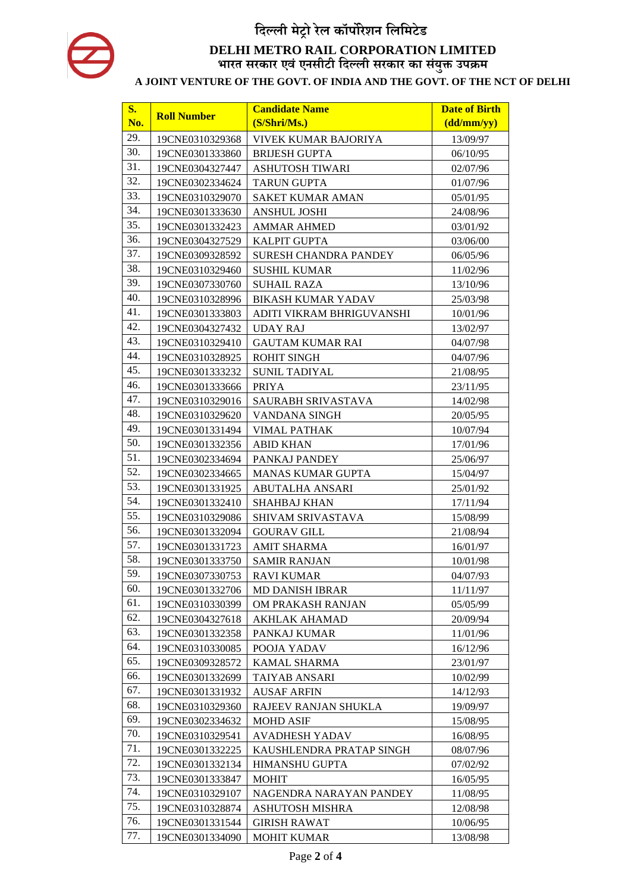| $S_{\bullet}$ | <b>Roll Number</b> | <b>Candidate Name</b>        | <b>Date of Birth</b>          |
|---------------|--------------------|------------------------------|-------------------------------|
| No.           |                    | (S/Shri/Ms.)                 | $\frac{1}{\text{(dd/mm/yy)}}$ |
| 29.           | 19CNE0310329368    | <b>VIVEK KUMAR BAJORIYA</b>  | 13/09/97                      |
| 30.           | 19CNE0301333860    | <b>BRIJESH GUPTA</b>         | 06/10/95                      |
| 31.           | 19CNE0304327447    | <b>ASHUTOSH TIWARI</b>       | 02/07/96                      |
| 32.           | 19CNE0302334624    | <b>TARUN GUPTA</b>           | 01/07/96                      |
| 33.           | 19CNE0310329070    | SAKET KUMAR AMAN             | 05/01/95                      |
| 34.           | 19CNE0301333630    | <b>ANSHUL JOSHI</b>          | 24/08/96                      |
| 35.           | 19CNE0301332423    | <b>AMMAR AHMED</b>           | 03/01/92                      |
| 36.           | 19CNE0304327529    | <b>KALPIT GUPTA</b>          | 03/06/00                      |
| 37.           | 19CNE0309328592    | <b>SURESH CHANDRA PANDEY</b> | 06/05/96                      |
| 38.           | 19CNE0310329460    | <b>SUSHIL KUMAR</b>          | 11/02/96                      |
| 39.           | 19CNE0307330760    | <b>SUHAIL RAZA</b>           | 13/10/96                      |
| 40.           | 19CNE0310328996    | <b>BIKASH KUMAR YADAV</b>    | 25/03/98                      |
| 41.           | 19CNE0301333803    | ADITI VIKRAM BHRIGUVANSHI    | 10/01/96                      |
| 42.           | 19CNE0304327432    | <b>UDAY RAJ</b>              | 13/02/97                      |
| 43.           | 19CNE0310329410    | <b>GAUTAM KUMAR RAI</b>      | 04/07/98                      |
| 44.           | 19CNE0310328925    | <b>ROHIT SINGH</b>           | 04/07/96                      |
| 45.           | 19CNE0301333232    | <b>SUNIL TADIYAL</b>         | 21/08/95                      |
| 46.           | 19CNE0301333666    | <b>PRIYA</b>                 | 23/11/95                      |
| 47.           | 19CNE0310329016    | SAURABH SRIVASTAVA           | 14/02/98                      |
| 48.           | 19CNE0310329620    | VANDANA SINGH                | 20/05/95                      |
| 49.           | 19CNE0301331494    | <b>VIMAL PATHAK</b>          | 10/07/94                      |
| 50.           | 19CNE0301332356    | <b>ABID KHAN</b>             | 17/01/96                      |
| 51.           | 19CNE0302334694    | PANKAJ PANDEY                | 25/06/97                      |
| 52.           | 19CNE0302334665    | <b>MANAS KUMAR GUPTA</b>     | 15/04/97                      |
| 53.           | 19CNE0301331925    | ABUTALHA ANSARI              | 25/01/92                      |
| 54.           | 19CNE0301332410    | <b>SHAHBAJ KHAN</b>          | 17/11/94                      |
| 55.           | 19CNE0310329086    | SHIVAM SRIVASTAVA            | 15/08/99                      |
| 56.           | 19CNE0301332094    | <b>GOURAV GILL</b>           | 21/08/94                      |
| 57.           | 19CNE0301331723    | <b>AMIT SHARMA</b>           | 16/01/97                      |
| 58.           | 19CNE0301333750    | <b>SAMIR RANJAN</b>          | 10/01/98                      |
| 59.           | 19CNE0307330753    | <b>RAVI KUMAR</b>            | 04/07/93                      |
| 60.           | 19CNE0301332706    | <b>MD DANISH IBRAR</b>       | 11/11/97                      |
| 61.           | 19CNE0310330399    | OM PRAKASH RANJAN            | 05/05/99                      |
| 62.           | 19CNE0304327618    | AKHLAK AHAMAD                | 20/09/94                      |
| 63.           | 19CNE0301332358    | PANKAJ KUMAR                 | 11/01/96                      |
| 64.           | 19CNE0310330085    | POOJA YADAV                  | 16/12/96                      |
| 65.           | 19CNE0309328572    | <b>KAMAL SHARMA</b>          | 23/01/97                      |
| 66.           | 19CNE0301332699    | <b>TAIYAB ANSARI</b>         | 10/02/99                      |
| 67.           | 19CNE0301331932    | <b>AUSAF ARFIN</b>           | 14/12/93                      |
| 68.           | 19CNE0310329360    | RAJEEV RANJAN SHUKLA         | 19/09/97                      |
| 69.           | 19CNE0302334632    | <b>MOHD ASIF</b>             | 15/08/95                      |
| 70.           | 19CNE0310329541    | <b>AVADHESH YADAV</b>        | 16/08/95                      |
| 71.           | 19CNE0301332225    | KAUSHLENDRA PRATAP SINGH     | 08/07/96                      |
| 72.           | 19CNE0301332134    | <b>HIMANSHU GUPTA</b>        | 07/02/92                      |
| 73.           | 19CNE0301333847    | <b>MOHIT</b>                 | 16/05/95                      |
| 74.           | 19CNE0310329107    | NAGENDRA NARAYAN PANDEY      | 11/08/95                      |
| 75.           | 19CNE0310328874    | ASHUTOSH MISHRA              | 12/08/98                      |
| 76.           | 19CNE0301331544    | <b>GIRISH RAWAT</b>          | 10/06/95                      |
| 77.           | 19CNE0301334090    | <b>MOHIT KUMAR</b>           | 13/08/98                      |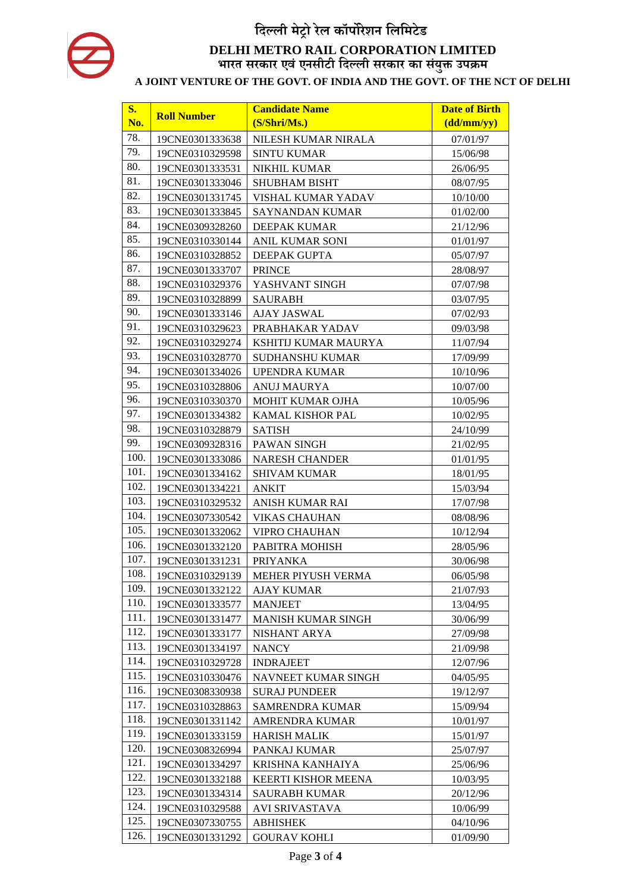| <b>S.</b> | <b>Roll Number</b> | <b>Candidate Name</b>      | <b>Date of Birth</b>          |
|-----------|--------------------|----------------------------|-------------------------------|
| No.       |                    | (S/Shri/Ms.)               | $\frac{1}{\text{(dd/mm/yy)}}$ |
| 78.       | 19CNE0301333638    | NILESH KUMAR NIRALA        | 07/01/97                      |
| 79.       | 19CNE0310329598    | <b>SINTU KUMAR</b>         | 15/06/98                      |
| 80.       | 19CNE0301333531    | <b>NIKHIL KUMAR</b>        | 26/06/95                      |
| 81.       | 19CNE0301333046    | <b>SHUBHAM BISHT</b>       | 08/07/95                      |
| 82.       | 19CNE0301331745    | VISHAL KUMAR YADAV         | 10/10/00                      |
| 83.       | 19CNE0301333845    | SAYNANDAN KUMAR            | 01/02/00                      |
| 84.       | 19CNE0309328260    | <b>DEEPAK KUMAR</b>        | 21/12/96                      |
| 85.       | 19CNE0310330144    | ANIL KUMAR SONI            | 01/01/97                      |
| 86.       | 19CNE0310328852    | <b>DEEPAK GUPTA</b>        | 05/07/97                      |
| 87.       | 19CNE0301333707    | <b>PRINCE</b>              | 28/08/97                      |
| 88.       | 19CNE0310329376    | YASHVANT SINGH             | 07/07/98                      |
| 89.       | 19CNE0310328899    | <b>SAURABH</b>             | 03/07/95                      |
| 90.       | 19CNE0301333146    | <b>AJAY JASWAL</b>         | 07/02/93                      |
| 91.       | 19CNE0310329623    | PRABHAKAR YADAV            | 09/03/98                      |
| 92.       | 19CNE0310329274    | KSHITIJ KUMAR MAURYA       | 11/07/94                      |
| 93.       | 19CNE0310328770    | SUDHANSHU KUMAR            | 17/09/99                      |
| 94.       | 19CNE0301334026    | <b>UPENDRA KUMAR</b>       | 10/10/96                      |
| 95.       | 19CNE0310328806    | <b>ANUJ MAURYA</b>         | 10/07/00                      |
| 96.       | 19CNE0310330370    | <b>MOHIT KUMAR OJHA</b>    | 10/05/96                      |
| 97.       | 19CNE0301334382    | <b>KAMAL KISHOR PAL</b>    | 10/02/95                      |
| 98.       | 19CNE0310328879    | <b>SATISH</b>              | 24/10/99                      |
| 99.       | 19CNE0309328316    | PAWAN SINGH                | 21/02/95                      |
| 100.      | 19CNE0301333086    | <b>NARESH CHANDER</b>      | 01/01/95                      |
| 101.      | 19CNE0301334162    | <b>SHIVAM KUMAR</b>        | 18/01/95                      |
| 102.      | 19CNE0301334221    | <b>ANKIT</b>               | 15/03/94                      |
| 103.      | 19CNE0310329532    | ANISH KUMAR RAI            | 17/07/98                      |
| 104.      | 19CNE0307330542    | VIKAS CHAUHAN              | 08/08/96                      |
| 105.      | 19CNE0301332062    | VIPRO CHAUHAN              | 10/12/94                      |
| 106.      | 19CNE0301332120    | PABITRA MOHISH             | 28/05/96                      |
| 107.      | 19CNE0301331231    | <b>PRIYANKA</b>            | 30/06/98                      |
| 108.      | 19CNE0310329139    | MEHER PIYUSH VERMA         | 06/05/98                      |
| 109.      | 19CNE0301332122    | <b>AJAY KUMAR</b>          | 21/07/93                      |
| 110.      | 19CNE0301333577    | <b>MANJEET</b>             | 13/04/95                      |
| 111.      | 19CNE0301331477    | <b>MANISH KUMAR SINGH</b>  | 30/06/99                      |
| 112.      | 19CNE0301333177    | NISHANT ARYA               | 27/09/98                      |
| 113.      | 19CNE0301334197    | <b>NANCY</b>               | 21/09/98                      |
| 114.      | 19CNE0310329728    | <b>INDRAJEET</b>           | 12/07/96                      |
| 115.      | 19CNE0310330476    | NAVNEET KUMAR SINGH        | 04/05/95                      |
| 116.      | 19CNE0308330938    | <b>SURAJ PUNDEER</b>       | 19/12/97                      |
| 117.      | 19CNE0310328863    | SAMRENDRA KUMAR            | 15/09/94                      |
| 118.      | 19CNE0301331142    | AMRENDRA KUMAR             | 10/01/97                      |
| 119.      | 19CNE0301333159    | <b>HARISH MALIK</b>        | 15/01/97                      |
| 120.      | 19CNE0308326994    | PANKAJ KUMAR               | 25/07/97                      |
| 121.      | 19CNE0301334297    | KRISHNA KANHAIYA           | 25/06/96                      |
| 122.      | 19CNE0301332188    | <b>KEERTI KISHOR MEENA</b> | 10/03/95                      |
| 123.      | 19CNE0301334314    | <b>SAURABH KUMAR</b>       | 20/12/96                      |
| 124.      | 19CNE0310329588    | AVI SRIVASTAVA             | 10/06/99                      |
| 125.      | 19CNE0307330755    | <b>ABHISHEK</b>            | 04/10/96                      |
| 126.      | 19CNE0301331292    | <b>GOURAV KOHLI</b>        | 01/09/90                      |